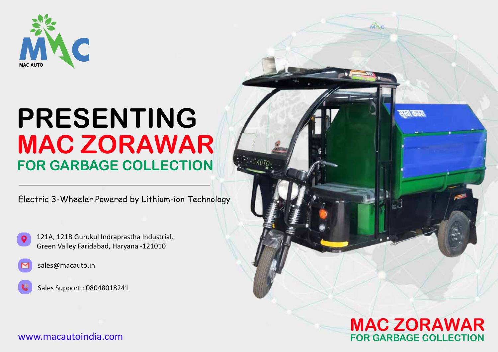

# **PRESENTING MAC ZORAWAR FOR GARBAGE COLLECTION**

Electric 3-Wheeler.Powered by Lithium-ion Technology





sales@macauto.in

Sales Support : 08048018241

**MAC ZORAWAR FOR GARBAGE COLLECTION**

мАс

www.macautoindia.com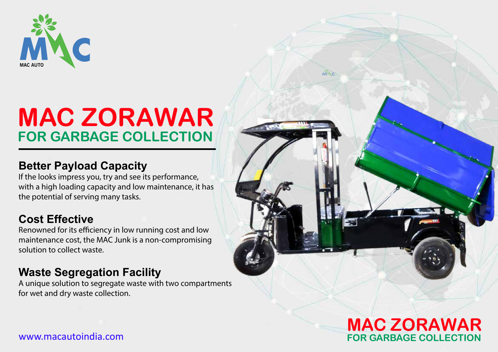

## **MAC ZORAWAR FOR GARBAGE COLLECTION**

#### **Better Payload Capacity**

If the looks impress you, try and see its performance, with a high loading capacity and low maintenance, it has the potential of serving many tasks.

### **Cost Effective**

Renowned for its efficiency in low running cost and low maintenance cost, the MAC Junk is a non-compromising solution to collect waste.

### **Waste Segregation Facility**

A unique solution to segregate waste with two compartments for wet and dry waste collection.



мÑс

www.macautoindia.com